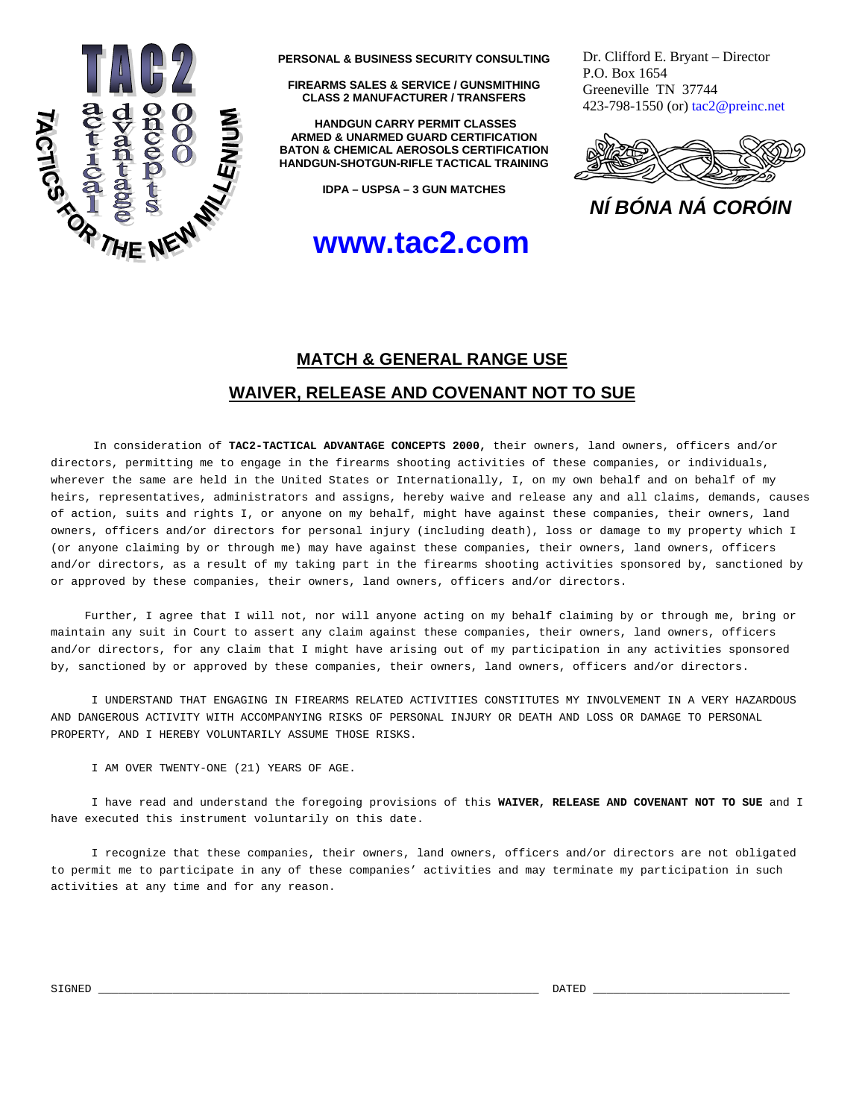

**PERSONAL & BUSINESS SECURITY CONSULTING**

**FIREARMS SALES & SERVICE / GUNSMITHING CLASS 2 MANUFACTURER / TRANSFERS** 

 **HANDGUN CARRY PERMIT CLASSES ARMED & UNARMED GUARD CERTIFICATION BATON & CHEMICAL AEROSOLS CERTIFICATION HANDGUN-SHOTGUN-RIFLE TACTICAL TRAINING**

**IDPA – USPSA – 3 GUN MATCHES** 

## **www.tac2.com**

Dr. Clifford E. Bryant – Director P.O. Box 1654 Greeneville TN 37744 423-798-1550 (or) tac2@preinc.net



*NÍ BÓNA NÁ CORÓIN*

## **MATCH & GENERAL RANGE USE**

## **WAIVER, RELEASE AND COVENANT NOT TO SUE**

 In consideration of **TAC2-TACTICAL ADVANTAGE CONCEPTS 2000,** their owners, land owners, officers and/or directors, permitting me to engage in the firearms shooting activities of these companies, or individuals, wherever the same are held in the United States or Internationally, I, on my own behalf and on behalf of my heirs, representatives, administrators and assigns, hereby waive and release any and all claims, demands, causes of action, suits and rights I, or anyone on my behalf, might have against these companies, their owners, land owners, officers and/or directors for personal injury (including death), loss or damage to my property which I (or anyone claiming by or through me) may have against these companies, their owners, land owners, officers and/or directors, as a result of my taking part in the firearms shooting activities sponsored by, sanctioned by or approved by these companies, their owners, land owners, officers and/or directors.

 Further, I agree that I will not, nor will anyone acting on my behalf claiming by or through me, bring or maintain any suit in Court to assert any claim against these companies, their owners, land owners, officers and/or directors, for any claim that I might have arising out of my participation in any activities sponsored by, sanctioned by or approved by these companies, their owners, land owners, officers and/or directors.

 I UNDERSTAND THAT ENGAGING IN FIREARMS RELATED ACTIVITIES CONSTITUTES MY INVOLVEMENT IN A VERY HAZARDOUS AND DANGEROUS ACTIVITY WITH ACCOMPANYING RISKS OF PERSONAL INJURY OR DEATH AND LOSS OR DAMAGE TO PERSONAL PROPERTY, AND I HEREBY VOLUNTARILY ASSUME THOSE RISKS.

I AM OVER TWENTY-ONE (21) YEARS OF AGE.

 I have read and understand the foregoing provisions of this **WAIVER, RELEASE AND COVENANT NOT TO SUE** and I have executed this instrument voluntarily on this date.

 I recognize that these companies, their owners, land owners, officers and/or directors are not obligated to permit me to participate in any of these companies' activities and may terminate my participation in such activities at any time and for any reason.